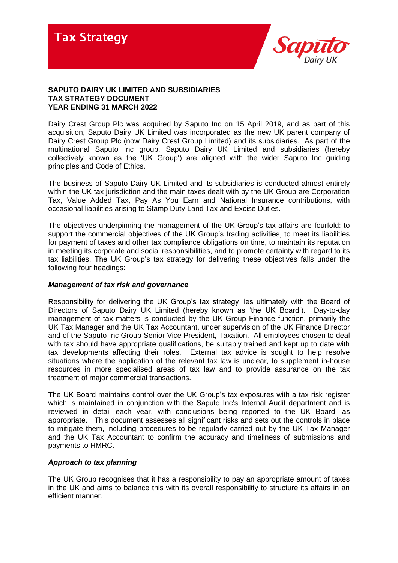

# **SAPUTO DAIRY UK LIMITED AND SUBSIDIARIES TAX STRATEGY DOCUMENT YEAR ENDING 31 MARCH 2022**

Dairy Crest Group Plc was acquired by Saputo Inc on 15 April 2019, and as part of this acquisition, Saputo Dairy UK Limited was incorporated as the new UK parent company of Dairy Crest Group Plc (now Dairy Crest Group Limited) and its subsidiaries. As part of the multinational Saputo Inc group, Saputo Dairy UK Limited and subsidiaries (hereby collectively known as the 'UK Group') are aligned with the wider Saputo Inc guiding principles and Code of Ethics.

The business of Saputo Dairy UK Limited and its subsidiaries is conducted almost entirely within the UK tax jurisdiction and the main taxes dealt with by the UK Group are Corporation Tax, Value Added Tax, Pay As You Earn and National Insurance contributions, with occasional liabilities arising to Stamp Duty Land Tax and Excise Duties.

The objectives underpinning the management of the UK Group's tax affairs are fourfold: to support the commercial objectives of the UK Group's trading activities, to meet its liabilities for payment of taxes and other tax compliance obligations on time, to maintain its reputation in meeting its corporate and social responsibilities, and to promote certainty with regard to its tax liabilities. The UK Group's tax strategy for delivering these objectives falls under the following four headings:

# *Management of tax risk and governance*

Responsibility for delivering the UK Group's tax strategy lies ultimately with the Board of Directors of Saputo Dairy UK Limited (hereby known as 'the UK Board'). Day-to-day management of tax matters is conducted by the UK Group Finance function, primarily the UK Tax Manager and the UK Tax Accountant, under supervision of the UK Finance Director and of the Saputo Inc Group Senior Vice President, Taxation. All employees chosen to deal with tax should have appropriate qualifications, be suitably trained and kept up to date with tax developments affecting their roles. External tax advice is sought to help resolve situations where the application of the relevant tax law is unclear, to supplement in-house resources in more specialised areas of tax law and to provide assurance on the tax treatment of major commercial transactions.

The UK Board maintains control over the UK Group's tax exposures with a tax risk register which is maintained in conjunction with the Saputo Inc's Internal Audit department and is reviewed in detail each year, with conclusions being reported to the UK Board, as appropriate. This document assesses all significant risks and sets out the controls in place to mitigate them, including procedures to be regularly carried out by the UK Tax Manager and the UK Tax Accountant to confirm the accuracy and timeliness of submissions and payments to HMRC.

# *Approach to tax planning*

The UK Group recognises that it has a responsibility to pay an appropriate amount of taxes in the UK and aims to balance this with its overall responsibility to structure its affairs in an efficient manner.